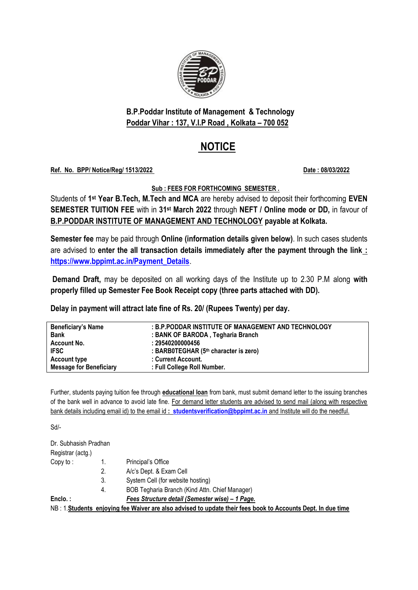

**B.P.Poddar Institute of Management & Technology Poddar Vihar : 137, V.I.P Road , Kolkata – 700 052**

# **NOTICE**

#### **Ref. No. BPP/ Notice/Reg/ 1513/2022 Date : 08/03/2022**

**Sub : FEES FOR FORTHCOMING SEMESTER .**

Students of **1 st Year B.Tech, M.Tech and MCA** are hereby advised to deposit their forthcoming **EVEN SEMESTER TUITION FEE** with in **31st March 2022** through **NEFT / Online mode or DD,** in favour of **B.P.PODDAR INSTITUTE OF MANAGEMENT AND TECHNOLOGY payable at Kolkata.**

**Semester fee** may be paid through **Online (information details given below)**. In such cases students are advised to **enter the all transaction details immediately after the payment through the link : [https://www.bppimt.ac.in/Payment\\_Details](https://www.bppimt.ac.in/Payment_Details)**.

**Demand Draft,** may be deposited on all working days of the Institute up to 2.30 P.M along **with properly filled up Semester Fee Book Receipt copy (three parts attached with DD).**

**Delay in payment will attract late fine of Rs. 20/ (Rupees Twenty) per day.**

| <b>Beneficiary's Name</b>      | : B.P.PODDAR INSTITUTE OF MANAGEMENT AND TECHNOLOGY |
|--------------------------------|-----------------------------------------------------|
| <b>Bank</b>                    | : BANK OF BARODA, Tegharia Branch                   |
| Account No.                    | : 29540200000456                                    |
| <b>IFSC</b>                    | : BARB0TEGHAR (5th character is zero)               |
| <b>Account type</b>            | : Current Account.                                  |
| <b>Message for Beneficiary</b> | : Full College Roll Number.                         |
|                                |                                                     |

Further, students paying tuition fee through **educational loan** from bank, must submit demand letter to the issuing branches of the bank well in advance to avoid late fine. For demand letter students are advised to send mail (along with respective bank details including email id) to the email id **: [studentsverification@bppimt.ac.in](mailto:studentsverification@bppimt.ac.in)** and Institute will do the needful.

Sd/-

| Dr. Subhasish Pradhan |    |                                                                                                              |
|-----------------------|----|--------------------------------------------------------------------------------------------------------------|
| Registrar (actg.)     |    |                                                                                                              |
| Copy to:              |    | Principal's Office                                                                                           |
|                       | 2. | A/c's Dept. & Exam Cell                                                                                      |
|                       | 3. | System Cell (for website hosting)                                                                            |
|                       | 4. | BOB Tegharia Branch (Kind Attn. Chief Manager)                                                               |
| Enclo.:               |    | Fees Structure detail (Semester wise) - 1 Page.                                                              |
|                       |    | NB: 1. Students enjoying fee Waiver are also advised to update their fees book to Accounts Dept. In due time |